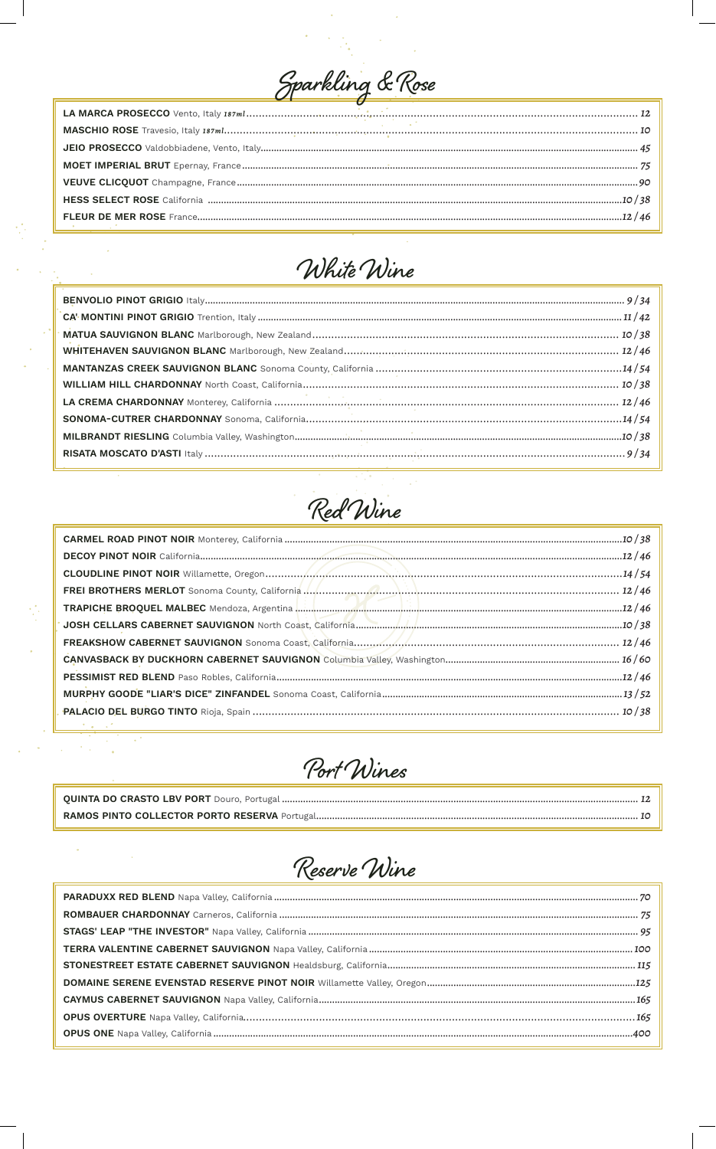



 $\frac{1}{2}$ 

ý,

 $\hat{\mathcal{A}}$ 

 $\hat{\mathcal{F}}_{\text{eff}}$ 

k,

 $\overline{\phantom{a}}$ 

 $\hat{\mathcal{A}}$ 



| TRAPICHE BROQUEL MALBEC Mendoza, Argentina <b>Malaysian Malaysian Malaysian Malaysian Malaysian Malaysian Malaysian Malaysian Malaysian Malaysian Malaysian Malaysian Malaysian Malaysian Malaysian Malaysian Malaysian Malaysia</b> |  |
|--------------------------------------------------------------------------------------------------------------------------------------------------------------------------------------------------------------------------------------|--|
|                                                                                                                                                                                                                                      |  |
|                                                                                                                                                                                                                                      |  |
|                                                                                                                                                                                                                                      |  |
|                                                                                                                                                                                                                                      |  |
|                                                                                                                                                                                                                                      |  |
|                                                                                                                                                                                                                                      |  |
| the contract of the contract of the contract of the contract of                                                                                                                                                                      |  |



Reserve Wine